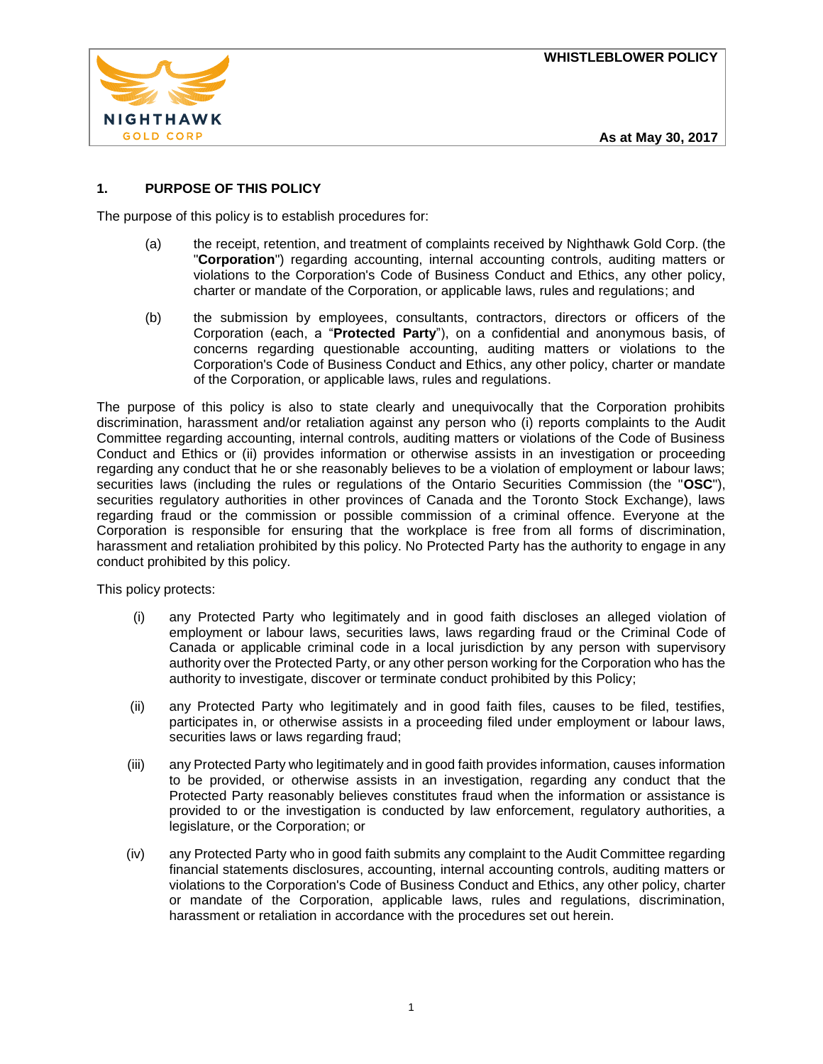

## **1. PURPOSE OF THIS POLICY**

The purpose of this policy is to establish procedures for:

- (a) the receipt, retention, and treatment of complaints received by Nighthawk Gold Corp. (the "**Corporation**") regarding accounting, internal accounting controls, auditing matters or violations to the Corporation's Code of Business Conduct and Ethics, any other policy, charter or mandate of the Corporation, or applicable laws, rules and regulations; and
- (b) the submission by employees, consultants, contractors, directors or officers of the Corporation (each, a "**Protected Party**"), on a confidential and anonymous basis, of concerns regarding questionable accounting, auditing matters or violations to the Corporation's Code of Business Conduct and Ethics, any other policy, charter or mandate of the Corporation, or applicable laws, rules and regulations.

The purpose of this policy is also to state clearly and unequivocally that the Corporation prohibits discrimination, harassment and/or retaliation against any person who (i) reports complaints to the Audit Committee regarding accounting, internal controls, auditing matters or violations of the Code of Business Conduct and Ethics or (ii) provides information or otherwise assists in an investigation or proceeding regarding any conduct that he or she reasonably believes to be a violation of employment or labour laws; securities laws (including the rules or regulations of the Ontario Securities Commission (the "**OSC**"), securities regulatory authorities in other provinces of Canada and the Toronto Stock Exchange), laws regarding fraud or the commission or possible commission of a criminal offence. Everyone at the Corporation is responsible for ensuring that the workplace is free from all forms of discrimination, harassment and retaliation prohibited by this policy. No Protected Party has the authority to engage in any conduct prohibited by this policy.

This policy protects:

- (i) any Protected Party who legitimately and in good faith discloses an alleged violation of employment or labour laws, securities laws, laws regarding fraud or the Criminal Code of Canada or applicable criminal code in a local jurisdiction by any person with supervisory authority over the Protected Party, or any other person working for the Corporation who has the authority to investigate, discover or terminate conduct prohibited by this Policy;
- (ii) any Protected Party who legitimately and in good faith files, causes to be filed, testifies, participates in, or otherwise assists in a proceeding filed under employment or labour laws, securities laws or laws regarding fraud;
- (iii) any Protected Party who legitimately and in good faith provides information, causes information to be provided, or otherwise assists in an investigation, regarding any conduct that the Protected Party reasonably believes constitutes fraud when the information or assistance is provided to or the investigation is conducted by law enforcement, regulatory authorities, a legislature, or the Corporation; or
- (iv) any Protected Party who in good faith submits any complaint to the Audit Committee regarding financial statements disclosures, accounting, internal accounting controls, auditing matters or violations to the Corporation's Code of Business Conduct and Ethics, any other policy, charter or mandate of the Corporation, applicable laws, rules and regulations, discrimination, harassment or retaliation in accordance with the procedures set out herein.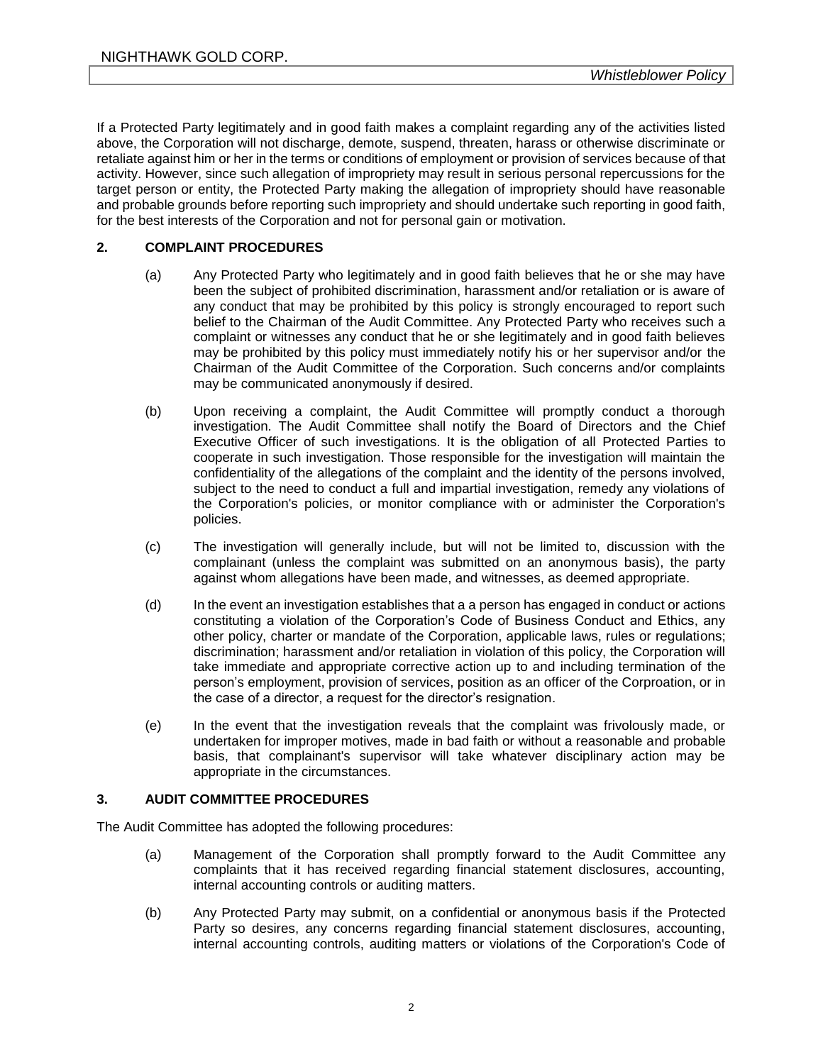If a Protected Party legitimately and in good faith makes a complaint regarding any of the activities listed above, the Corporation will not discharge, demote, suspend, threaten, harass or otherwise discriminate or retaliate against him or her in the terms or conditions of employment or provision of services because of that activity. However, since such allegation of impropriety may result in serious personal repercussions for the target person or entity, the Protected Party making the allegation of impropriety should have reasonable and probable grounds before reporting such impropriety and should undertake such reporting in good faith, for the best interests of the Corporation and not for personal gain or motivation.

## **2. COMPLAINT PROCEDURES**

- (a) Any Protected Party who legitimately and in good faith believes that he or she may have been the subject of prohibited discrimination, harassment and/or retaliation or is aware of any conduct that may be prohibited by this policy is strongly encouraged to report such belief to the Chairman of the Audit Committee. Any Protected Party who receives such a complaint or witnesses any conduct that he or she legitimately and in good faith believes may be prohibited by this policy must immediately notify his or her supervisor and/or the Chairman of the Audit Committee of the Corporation. Such concerns and/or complaints may be communicated anonymously if desired.
- (b) Upon receiving a complaint, the Audit Committee will promptly conduct a thorough investigation. The Audit Committee shall notify the Board of Directors and the Chief Executive Officer of such investigations. It is the obligation of all Protected Parties to cooperate in such investigation. Those responsible for the investigation will maintain the confidentiality of the allegations of the complaint and the identity of the persons involved, subject to the need to conduct a full and impartial investigation, remedy any violations of the Corporation's policies, or monitor compliance with or administer the Corporation's policies.
- (c) The investigation will generally include, but will not be limited to, discussion with the complainant (unless the complaint was submitted on an anonymous basis), the party against whom allegations have been made, and witnesses, as deemed appropriate.
- (d) In the event an investigation establishes that a a person has engaged in conduct or actions constituting a violation of the Corporation's Code of Business Conduct and Ethics, any other policy, charter or mandate of the Corporation, applicable laws, rules or regulations; discrimination; harassment and/or retaliation in violation of this policy, the Corporation will take immediate and appropriate corrective action up to and including termination of the person's employment, provision of services, position as an officer of the Corproation, or in the case of a director, a request for the director's resignation.
- (e) In the event that the investigation reveals that the complaint was frivolously made, or undertaken for improper motives, made in bad faith or without a reasonable and probable basis, that complainant's supervisor will take whatever disciplinary action may be appropriate in the circumstances.

## **3. AUDIT COMMITTEE PROCEDURES**

The Audit Committee has adopted the following procedures:

- (a) Management of the Corporation shall promptly forward to the Audit Committee any complaints that it has received regarding financial statement disclosures, accounting, internal accounting controls or auditing matters.
- (b) Any Protected Party may submit, on a confidential or anonymous basis if the Protected Party so desires, any concerns regarding financial statement disclosures, accounting, internal accounting controls, auditing matters or violations of the Corporation's Code of